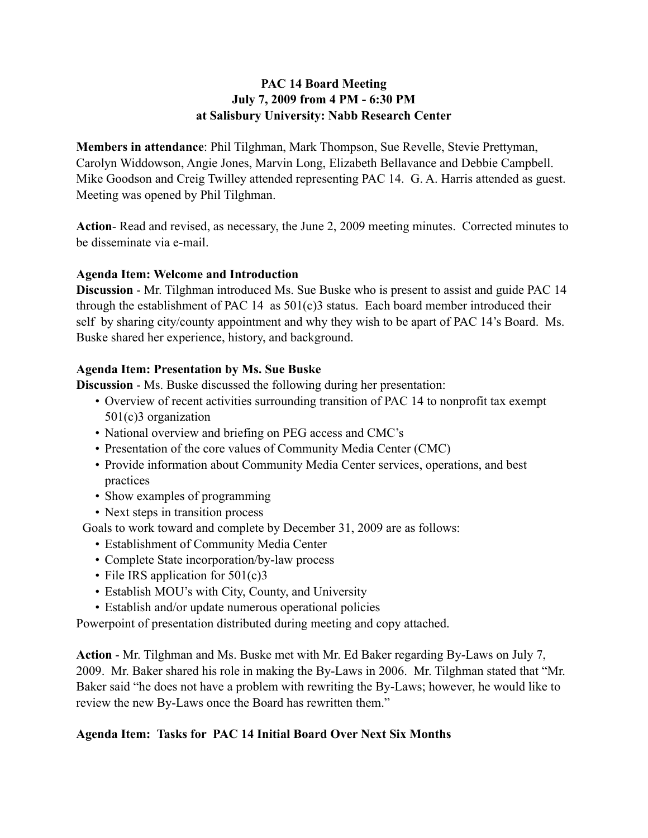## **PAC 14 Board Meeting July 7, 2009 from 4 PM - 6:30 PM at Salisbury University: Nabb Research Center**

**Members in attendance**: Phil Tilghman, Mark Thompson, Sue Revelle, Stevie Prettyman, Carolyn Widdowson, Angie Jones, Marvin Long, Elizabeth Bellavance and Debbie Campbell. Mike Goodson and Creig Twilley attended representing PAC 14. G. A. Harris attended as guest. Meeting was opened by Phil Tilghman.

**Action**- Read and revised, as necessary, the June 2, 2009 meeting minutes. Corrected minutes to be disseminate via e-mail.

### **Agenda Item: Welcome and Introduction**

**Discussion** - Mr. Tilghman introduced Ms. Sue Buske who is present to assist and guide PAC 14 through the establishment of PAC 14 as 501(c)3 status. Each board member introduced their self by sharing city/county appointment and why they wish to be apart of PAC 14's Board. Ms. Buske shared her experience, history, and background.

### **Agenda Item: Presentation by Ms. Sue Buske**

**Discussion** - Ms. Buske discussed the following during her presentation:

- Overview of recent activities surrounding transition of PAC 14 to nonprofit tax exempt 501(c)3 organization
- National overview and briefing on PEG access and CMC's
- Presentation of the core values of Community Media Center (CMC)
- Provide information about Community Media Center services, operations, and best practices
- Show examples of programming
- Next steps in transition process

Goals to work toward and complete by December 31, 2009 are as follows:

- Establishment of Community Media Center
- Complete State incorporation/by-law process
- File IRS application for 501(c)3
- Establish MOU's with City, County, and University
- Establish and/or update numerous operational policies

Powerpoint of presentation distributed during meeting and copy attached.

**Action** - Mr. Tilghman and Ms. Buske met with Mr. Ed Baker regarding By-Laws on July 7, 2009. Mr. Baker shared his role in making the By-Laws in 2006. Mr. Tilghman stated that "Mr. Baker said "he does not have a problem with rewriting the By-Laws; however, he would like to review the new By-Laws once the Board has rewritten them."

# **Agenda Item: Tasks for PAC 14 Initial Board Over Next Six Months**